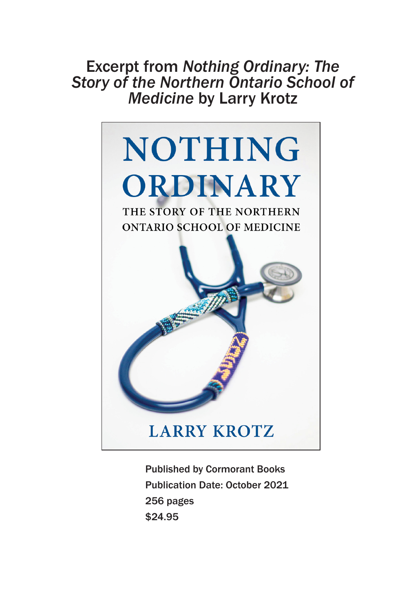# Excerpt from *Nothing Ordinary: The Story of the Northern Ontario School of Medicine* by Larry Krotz



Published by Cormorant Books Publication Date: October 2021 256 pages \$24.95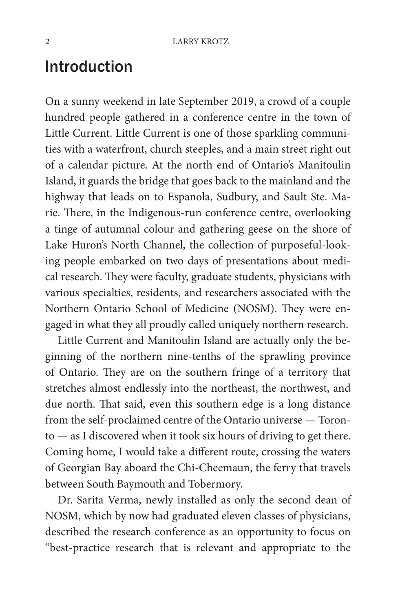## Introduction

On a sunny weekend in late September 2019, a crowd of a couple hundred people gathered in a conference centre in the town of Little Current. Little Current is one of those sparkling communities with a waterfront, church steeples, and a main street right out of a calendar picture. At the north end of Ontario's Manitoulin Island, it guards the bridge that goes back to the mainland and the highway that leads on to Espanola, Sudbury, and Sault Ste. Marie. There, in the Indigenous-run conference centre, overlooking a tinge of autumnal colour and gathering geese on the shore of Lake Huron's North Channel, the collection of purposeful-looking people embarked on two days of presentations about medical research. They were faculty, graduate students, physicians with various specialties, residents, and researchers associated with the Northern Ontario School of Medicine (NOSM). They were engaged in what they all proudly called uniquely northern research.

Little Current and Manitoulin Island are actually only the beginning of the northern nine-tenths of the sprawling province of Ontario. They are on the southern fringe of a territory that stretches almost endlessly into the northeast, the northwest, and due north. That said, even this southern edge is a long distance from the self-proclaimed centre of the Ontario universe — Toronto — as I discovered when it took six hours of driving to get there. Coming home, I would take a different route, crossing the waters of Georgian Bay aboard the Chi-Cheemaun, the ferry that travels between South Baymouth and Tobermory.

Dr. Sarita Verma, newly installed as only the second dean of NOSM, which by now had graduated eleven classes of physicians, described the research conference as an opportunity to focus on "best-practice research that is relevant and appropriate to the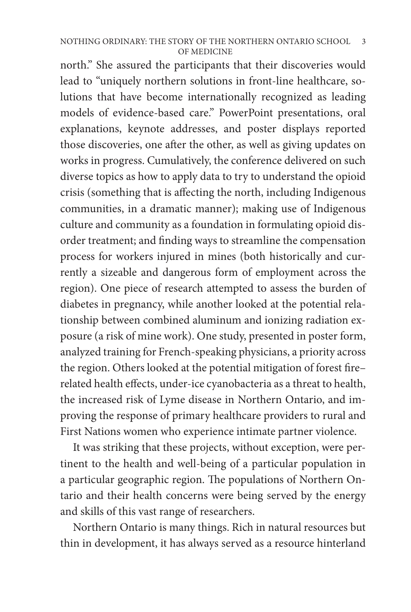#### NOTHING ORDINARY: THE STORY OF THE NORTHERN ONTARIO SCHOOL OF MEDICINE 3

north." She assured the participants that their discoveries would lead to "uniquely northern solutions in front-line healthcare, solutions that have become internationally recognized as leading models of evidence-based care." PowerPoint presentations, oral explanations, keynote addresses, and poster displays reported those discoveries, one after the other, as well as giving updates on works in progress. Cumulatively, the conference delivered on such diverse topics as how to apply data to try to understand the opioid crisis (something that is affecting the north, including Indigenous communities, in a dramatic manner); making use of Indigenous culture and community as a foundation in formulating opioid disorder treatment; and finding ways to streamline the compensation process for workers injured in mines (both historically and currently a sizeable and dangerous form of employment across the region). One piece of research attempted to assess the burden of diabetes in pregnancy, while another looked at the potential relationship between combined aluminum and ionizing radiation exposure (a risk of mine work). One study, presented in poster form, analyzed training for French-speaking physicians, a priority across the region. Others looked at the potential mitigation of forest fire– related health effects, under-ice cyanobacteria as a threat to health, the increased risk of Lyme disease in Northern Ontario, and improving the response of primary healthcare providers to rural and First Nations women who experience intimate partner violence.

It was striking that these projects, without exception, were pertinent to the health and well-being of a particular population in a particular geographic region. The populations of Northern Ontario and their health concerns were being served by the energy and skills of this vast range of researchers.

Northern Ontario is many things. Rich in natural resources but thin in development, it has always served as a resource hinterland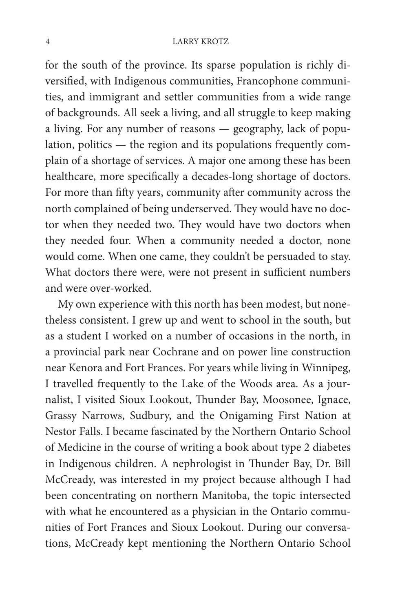### 4 LARRY KROTZ

for the south of the province. Its sparse population is richly diversified, with Indigenous communities, Francophone communities, and immigrant and settler communities from a wide range of backgrounds. All seek a living, and all struggle to keep making a living. For any number of reasons — geography, lack of population, politics — the region and its populations frequently complain of a shortage of services. A major one among these has been healthcare, more specifically a decades-long shortage of doctors. For more than fifty years, community after community across the north complained of being underserved. They would have no doctor when they needed two. They would have two doctors when they needed four. When a community needed a doctor, none would come. When one came, they couldn't be persuaded to stay. What doctors there were, were not present in sufficient numbers and were over-worked.

My own experience with this north has been modest, but nonetheless consistent. I grew up and went to school in the south, but as a student I worked on a number of occasions in the north, in a provincial park near Cochrane and on power line construction near Kenora and Fort Frances. For years while living in Winnipeg, I travelled frequently to the Lake of the Woods area. As a journalist, I visited Sioux Lookout, Thunder Bay, Moosonee, Ignace, Grassy Narrows, Sudbury, and the Onigaming First Nation at Nestor Falls. I became fascinated by the Northern Ontario School of Medicine in the course of writing a book about type 2 diabetes in Indigenous children. A nephrologist in Thunder Bay, Dr. Bill McCready, was interested in my project because although I had been concentrating on northern Manitoba, the topic intersected with what he encountered as a physician in the Ontario communities of Fort Frances and Sioux Lookout. During our conversations, McCready kept mentioning the Northern Ontario School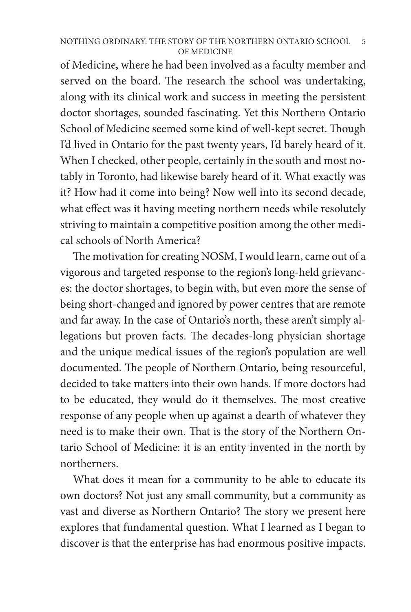### NOTHING ORDINARY: THE STORY OF THE NORTHERN ONTARIO SCHOOL OF MEDICINE 5

of Medicine, where he had been involved as a faculty member and served on the board. The research the school was undertaking, along with its clinical work and success in meeting the persistent doctor shortages, sounded fascinating. Yet this Northern Ontario School of Medicine seemed some kind of well-kept secret. Though I'd lived in Ontario for the past twenty years, I'd barely heard of it. When I checked, other people, certainly in the south and most notably in Toronto, had likewise barely heard of it. What exactly was it? How had it come into being? Now well into its second decade, what effect was it having meeting northern needs while resolutely striving to maintain a competitive position among the other medical schools of North America?

The motivation for creating NOSM, I would learn, came out of a vigorous and targeted response to the region's long-held grievances: the doctor shortages, to begin with, but even more the sense of being short-changed and ignored by power centres that are remote and far away. In the case of Ontario's north, these aren't simply allegations but proven facts. The decades-long physician shortage and the unique medical issues of the region's population are well documented. The people of Northern Ontario, being resourceful, decided to take matters into their own hands. If more doctors had to be educated, they would do it themselves. The most creative response of any people when up against a dearth of whatever they need is to make their own. That is the story of the Northern Ontario School of Medicine: it is an entity invented in the north by northerners.

What does it mean for a community to be able to educate its own doctors? Not just any small community, but a community as vast and diverse as Northern Ontario? The story we present here explores that fundamental question. What I learned as I began to discover is that the enterprise has had enormous positive impacts.